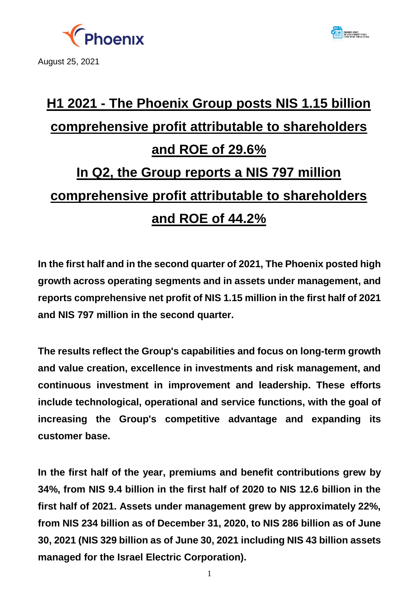

August 25, 2021



# **H1 2021 - The Phoenix Group posts NIS 1.15 billion comprehensive profit attributable to shareholders and ROE of 29.6% In Q2, the Group reports a NIS 797 million comprehensive profit attributable to shareholders and ROE of 44.2%**

**In the first half and in the second quarter of 2021, The Phoenix posted high growth across operating segments and in assets under management, and reports comprehensive net profit of NIS 1.15 million in the first half of 2021 and NIS 797 million in the second quarter.** 

**The results reflect the Group's capabilities and focus on long-term growth and value creation, excellence in investments and risk management, and continuous investment in improvement and leadership. These efforts include technological, operational and service functions, with the goal of increasing the Group's competitive advantage and expanding its customer base.** 

**In the first half of the year, premiums and benefit contributions grew by 34%, from NIS 9.4 billion in the first half of 2020 to NIS 12.6 billion in the first half of 2021. Assets under management grew by approximately 22%, from NIS 234 billion as of December 31, 2020, to NIS 286 billion as of June 30, 2021 (NIS 329 billion as of June 30, 2021 including NIS 43 billion assets managed for the Israel Electric Corporation).**

1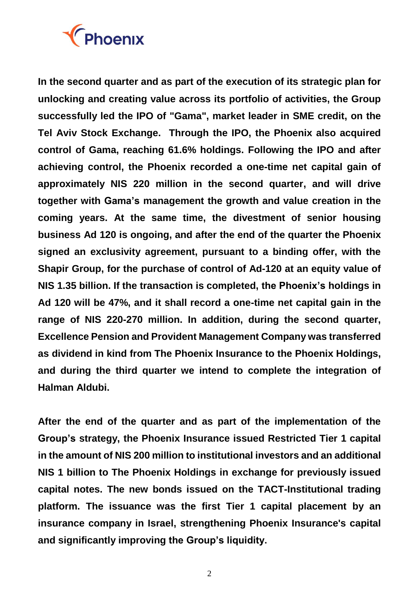

**In the second quarter and as part of the execution of its strategic plan for unlocking and creating value across its portfolio of activities, the Group successfully led the IPO of "Gama", market leader in SME credit, on the Tel Aviv Stock Exchange. Through the IPO, the Phoenix also acquired control of Gama, reaching 61.6% holdings. Following the IPO and after achieving control, the Phoenix recorded a one-time net capital gain of approximately NIS 220 million in the second quarter, and will drive together with Gama's management the growth and value creation in the coming years. At the same time, the divestment of senior housing business Ad 120 is ongoing, and after the end of the quarter the Phoenix signed an exclusivity agreement, pursuant to a binding offer, with the Shapir Group, for the purchase of control of Ad-120 at an equity value of NIS 1.35 billion. If the transaction is completed, the Phoenix's holdings in Ad 120 will be 47%, and it shall record a one-time net capital gain in the range of NIS 220-270 million. In addition, during the second quarter, Excellence Pension and Provident Management Company was transferred as dividend in kind from The Phoenix Insurance to the Phoenix Holdings, and during the third quarter we intend to complete the integration of Halman Aldubi.** 

**After the end of the quarter and as part of the implementation of the Group's strategy, the Phoenix Insurance issued Restricted Tier 1 capital in the amount of NIS 200 million to institutional investors and an additional NIS 1 billion to The Phoenix Holdings in exchange for previously issued capital notes. The new bonds issued on the TACT-Institutional trading platform. The issuance was the first Tier 1 capital placement by an insurance company in Israel, strengthening Phoenix Insurance's capital and significantly improving the Group's liquidity.**

2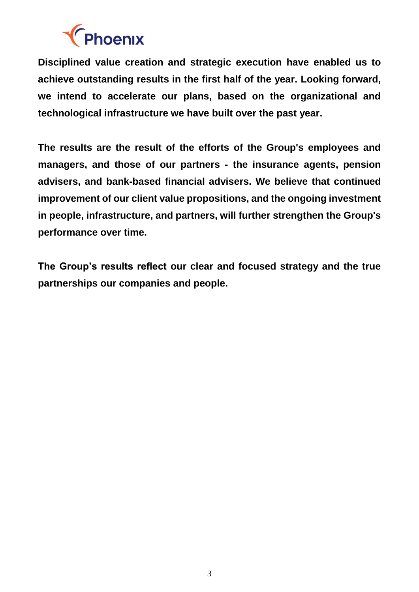

**Disciplined value creation and strategic execution have enabled us to achieve outstanding results in the first half of the year. Looking forward, we intend to accelerate our plans, based on the organizational and technological infrastructure we have built over the past year.**

**The results are the result of the efforts of the Group's employees and managers, and those of our partners - the insurance agents, pension advisers, and bank-based financial advisers. We believe that continued improvement of our client value propositions, and the ongoing investment in people, infrastructure, and partners, will further strengthen the Group's performance over time.**

**The Group's results reflect our clear and focused strategy and the true partnerships our companies and people.**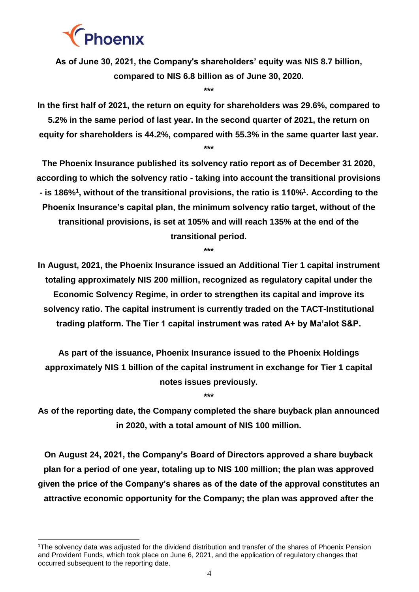

-

**As of June 30, 2021, the Company's shareholders' equity was NIS 8.7 billion, compared to NIS 6.8 billion as of June 30, 2020.**

**\*\*\***

**In the first half of 2021, the return on equity for shareholders was 29.6%, compared to 5.2% in the same period of last year. In the second quarter of 2021, the return on equity for shareholders is 44.2%, compared with 55.3% in the same quarter last year. \*\*\***

**The Phoenix Insurance published its solvency ratio report as of December 31 2020, according to which the solvency ratio - taking into account the transitional provisions <sup>1</sup> <sup>1</sup> - is 186% , without of the transitional provisions, the ratio is 110% . According to the Phoenix Insurance's capital plan, the minimum solvency ratio target, without of the transitional provisions, is set at 105% and will reach 135% at the end of the transitional period.** 

**\*\*\***

**In August, 2021, the Phoenix Insurance issued an Additional Tier 1 capital instrument totaling approximately NIS 200 million, recognized as regulatory capital under the Economic Solvency Regime, in order to strengthen its capital and improve its solvency ratio. The capital instrument is currently traded on the TACT-Institutional trading platform. The Tier 1 capital instrument was rated A+ by Ma'alot S&P.**

**As part of the issuance, Phoenix Insurance issued to the Phoenix Holdings approximately NIS 1 billion of the capital instrument in exchange for Tier 1 capital notes issues previously.** 

**\*\*\***

**As of the reporting date, the Company completed the share buyback plan announced in 2020, with a total amount of NIS 100 million.**

**On August 24, 2021, the Company's Board of Directors approved a share buyback plan for a period of one year, totaling up to NIS 100 million; the plan was approved given the price of the Company's shares as of the date of the approval constitutes an attractive economic opportunity for the Company; the plan was approved after the** 

<sup>1</sup>The solvency data was adjusted for the dividend distribution and transfer of the shares of Phoenix Pension and Provident Funds, which took place on June 6, 2021, and the application of regulatory changes that occurred subsequent to the reporting date.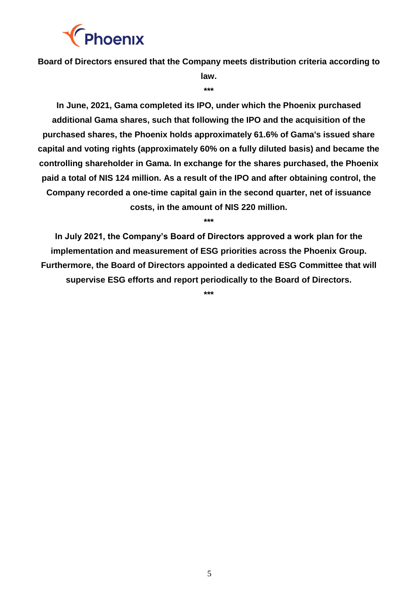

**Board of Directors ensured that the Company meets distribution criteria according to** 

**law. \*\*\***

**In June, 2021, Gama completed its IPO, under which the Phoenix purchased additional Gama shares, such that following the IPO and the acquisition of the purchased shares, the Phoenix holds approximately 61.6% of Gama's issued share capital and voting rights (approximately 60% on a fully diluted basis) and became the controlling shareholder in Gama. In exchange for the shares purchased, the Phoenix paid a total of NIS 124 million. As a result of the IPO and after obtaining control, the Company recorded a one-time capital gain in the second quarter, net of issuance costs, in the amount of NIS 220 million.** 

**\*\*\***

**In July 2021, the Company's Board of Directors approved a work plan for the implementation and measurement of ESG priorities across the Phoenix Group. Furthermore, the Board of Directors appointed a dedicated ESG Committee that will supervise ESG efforts and report periodically to the Board of Directors.**

**\*\*\***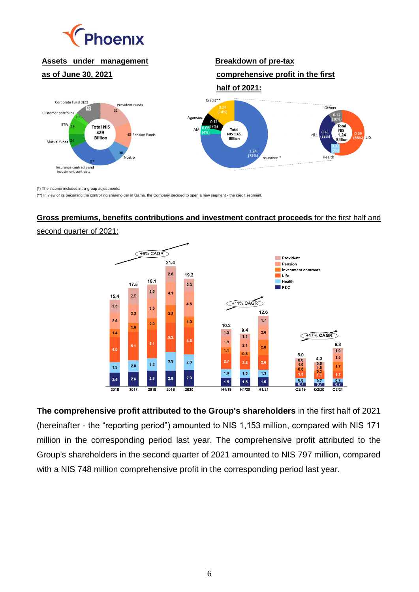

## **Assets under management**

#### **as of June 30, 2021**

### **Breakdown of pre-tax comprehensive profit in the first**



(\*) The income includes intra-group adjustments.

(\*\*) In view of its becoming the controlling shareholder in Gama, the Company decided to open a new segment - the credit segment.

## **Gross premiums, benefits contributions and investment contract proceeds** for the first half and

#### second quarter of 2021:



**The comprehensive profit attributed to the Group's shareholders** in the first half of 2021 (hereinafter - the "reporting period") amounted to NIS 1,153 million, compared with NIS 171 million in the corresponding period last year. The comprehensive profit attributed to the Group's shareholders in the second quarter of 2021 amounted to NIS 797 million, compared with a NIS 748 million comprehensive profit in the corresponding period last year.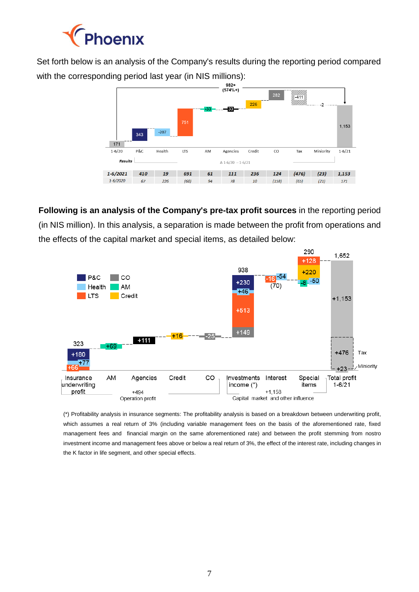

Set forth below is an analysis of the Company's results during the reporting period compared with the corresponding period last year (in NIS millions):<br> $\overbrace{S_{574\%+}}^{982+}$ 



**Following is an analysis of the Company's pre-tax profit sources** in the reporting period (in NIS million). In this analysis, a separation is made between the profit from operations and the effects of the capital market and special items, as detailed below:



(\*) Profitability analysis in insurance segments: The profitability analysis is based on a breakdown between underwriting profit, which assumes a real return of 3% (including variable management fees on the basis of the aforementioned rate, fixed management fees and financial margin on the same aforementioned rate) and between the profit stemming from nostro investment income and management fees above or below a real return of 3%, the effect of the interest rate, including changes in the K factor in life segment, and other special effects.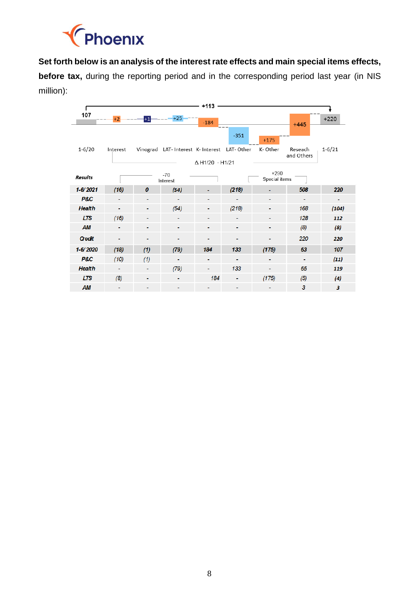

**Set forth below is an analysis of the interest rate effects and main special items effects,** 

**before tax,** during the reporting period and in the corresponding period last year (in NIS million):

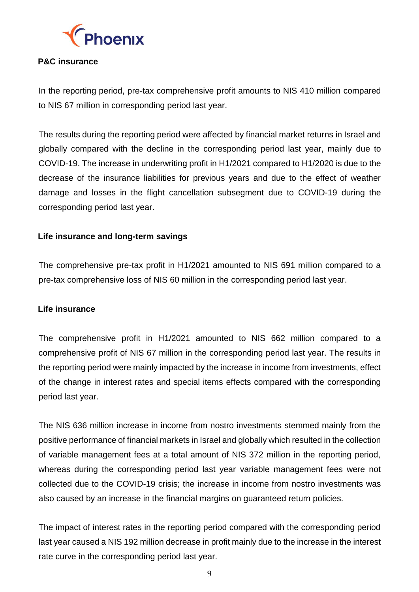

#### **P&C insurance**

In the reporting period, pre-tax comprehensive profit amounts to NIS 410 million compared to NIS 67 million in corresponding period last year.

The results during the reporting period were affected by financial market returns in Israel and globally compared with the decline in the corresponding period last year, mainly due to COVID-19. The increase in underwriting profit in H1/2021 compared to H1/2020 is due to the decrease of the insurance liabilities for previous years and due to the effect of weather damage and losses in the flight cancellation subsegment due to COVID-19 during the corresponding period last year.

#### **Life insurance and long-term savings**

The comprehensive pre-tax profit in H1/2021 amounted to NIS 691 million compared to a pre-tax comprehensive loss of NIS 60 million in the corresponding period last year.

#### **Life insurance**

The comprehensive profit in H1/2021 amounted to NIS 662 million compared to a comprehensive profit of NIS 67 million in the corresponding period last year. The results in the reporting period were mainly impacted by the increase in income from investments, effect of the change in interest rates and special items effects compared with the corresponding period last year.

The NIS 636 million increase in income from nostro investments stemmed mainly from the positive performance of financial markets in Israel and globally which resulted in the collection of variable management fees at a total amount of NIS 372 million in the reporting period, whereas during the corresponding period last year variable management fees were not collected due to the COVID-19 crisis; the increase in income from nostro investments was also caused by an increase in the financial margins on guaranteed return policies.

The impact of interest rates in the reporting period compared with the corresponding period last year caused a NIS 192 million decrease in profit mainly due to the increase in the interest rate curve in the corresponding period last year.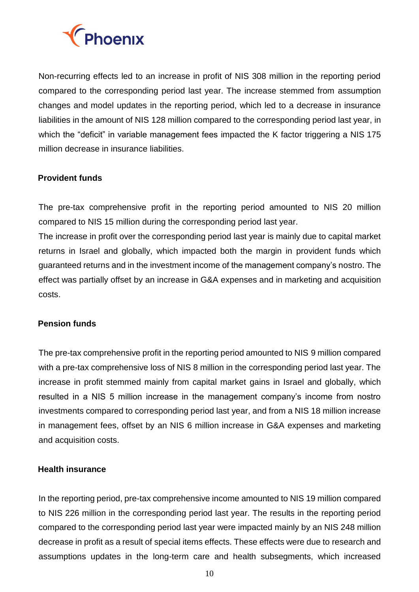

Non-recurring effects led to an increase in profit of NIS 308 million in the reporting period compared to the corresponding period last year. The increase stemmed from assumption changes and model updates in the reporting period, which led to a decrease in insurance liabilities in the amount of NIS 128 million compared to the corresponding period last year, in which the "deficit" in variable management fees impacted the K factor triggering a NIS 175 million decrease in insurance liabilities.

#### **Provident funds**

The pre-tax comprehensive profit in the reporting period amounted to NIS 20 million compared to NIS 15 million during the corresponding period last year.

The increase in profit over the corresponding period last year is mainly due to capital market returns in Israel and globally, which impacted both the margin in provident funds which guaranteed returns and in the investment income of the management company's nostro. The effect was partially offset by an increase in G&A expenses and in marketing and acquisition costs.

#### **Pension funds**

The pre-tax comprehensive profit in the reporting period amounted to NIS 9 million compared with a pre-tax comprehensive loss of NIS 8 million in the corresponding period last year. The increase in profit stemmed mainly from capital market gains in Israel and globally, which resulted in a NIS 5 million increase in the management company's income from nostro investments compared to corresponding period last year, and from a NIS 18 million increase in management fees, offset by an NIS 6 million increase in G&A expenses and marketing and acquisition costs.

#### **Health insurance**

In the reporting period, pre-tax comprehensive income amounted to NIS 19 million compared to NIS 226 million in the corresponding period last year. The results in the reporting period compared to the corresponding period last year were impacted mainly by an NIS 248 million decrease in profit as a result of special items effects. These effects were due to research and assumptions updates in the long-term care and health subsegments, which increased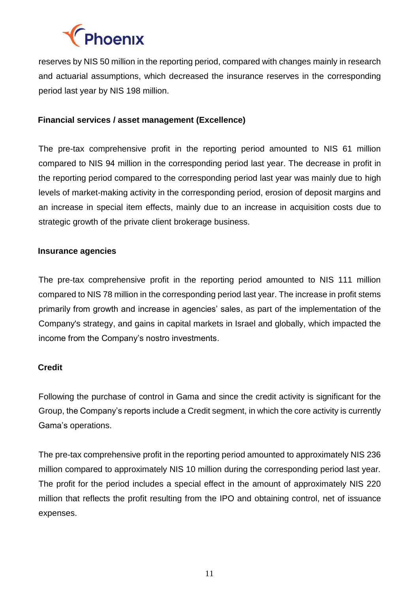

reserves by NIS 50 million in the reporting period, compared with changes mainly in research and actuarial assumptions, which decreased the insurance reserves in the corresponding period last year by NIS 198 million.

#### **Financial services / asset management (Excellence)**

The pre-tax comprehensive profit in the reporting period amounted to NIS 61 million compared to NIS 94 million in the corresponding period last year. The decrease in profit in the reporting period compared to the corresponding period last year was mainly due to high levels of market-making activity in the corresponding period, erosion of deposit margins and an increase in special item effects, mainly due to an increase in acquisition costs due to strategic growth of the private client brokerage business.

#### **Insurance agencies**

The pre-tax comprehensive profit in the reporting period amounted to NIS 111 million compared to NIS 78 million in the corresponding period last year. The increase in profit stems primarily from growth and increase in agencies' sales, as part of the implementation of the Company's strategy, and gains in capital markets in Israel and globally, which impacted the income from the Company's nostro investments.

#### **Credit**

Following the purchase of control in Gama and since the credit activity is significant for the Group, the Company's reports include a Credit segment, in which the core activity is currently Gama's operations.

The pre-tax comprehensive profit in the reporting period amounted to approximately NIS 236 million compared to approximately NIS 10 million during the corresponding period last year. The profit for the period includes a special effect in the amount of approximately NIS 220 million that reflects the profit resulting from the IPO and obtaining control, net of issuance expenses.